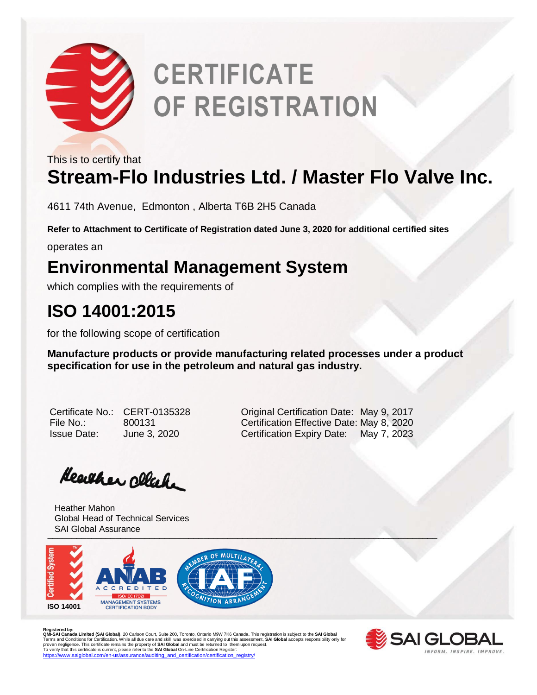

# **CERTIFICATE OF REGISTRATION**

This is to certify that

## **Stream-Flo Industries Ltd. / Master Flo Valve Inc.**

4611 74th Avenue, Edmonton , Alberta T6B 2H5 Canada

**Refer to Attachment to Certificate of Registration dated June 3, 2020 for additional certified sites**

operates an

### **Environmental Management System**

which complies with the requirements of

## **ISO 14001:2015**

for the following scope of certification

**Manufacture products or provide manufacturing related processes under a product specification for use in the petroleum and natural gas industry.** 

| Certificate No.    |
|--------------------|
| File No.:          |
| <b>Issue Date:</b> |

CERT-0135328 **Original Certification Date: May 9, 2017** File No.: 800131 Certification Effective Date: May 8, 2020 June 3, 2020 **Certification Expiry Date:** May 7, 2023

Heather clack

\_\_\_\_\_\_\_\_\_\_\_\_\_\_\_\_\_\_\_\_\_\_\_\_\_\_\_\_\_\_\_\_\_\_\_\_\_\_\_\_\_\_\_\_\_\_\_\_\_\_\_\_\_\_\_\_\_\_\_\_\_\_\_\_\_\_\_\_\_\_\_\_\_\_\_\_\_\_\_\_ Heather Mahon Global Head of Technical Services SAI Global Assurance



R**egistered by:**<br>**QMI-SAI Canada Limited (SAI Global)**, 20 Carlson Court, Suite 200, Toronto, Ontario M9W 7K6 Canada. This registration is subject to the **SAI Global**<br>Terms and Conditions for Certification. While all due c [https://www.saiglobal.com/en-us/assurance/auditing\\_and\\_certification/certification\\_registry/](https://www.saiglobal.com/en-us/assurance/auditing_and_certification/certification_registry/)